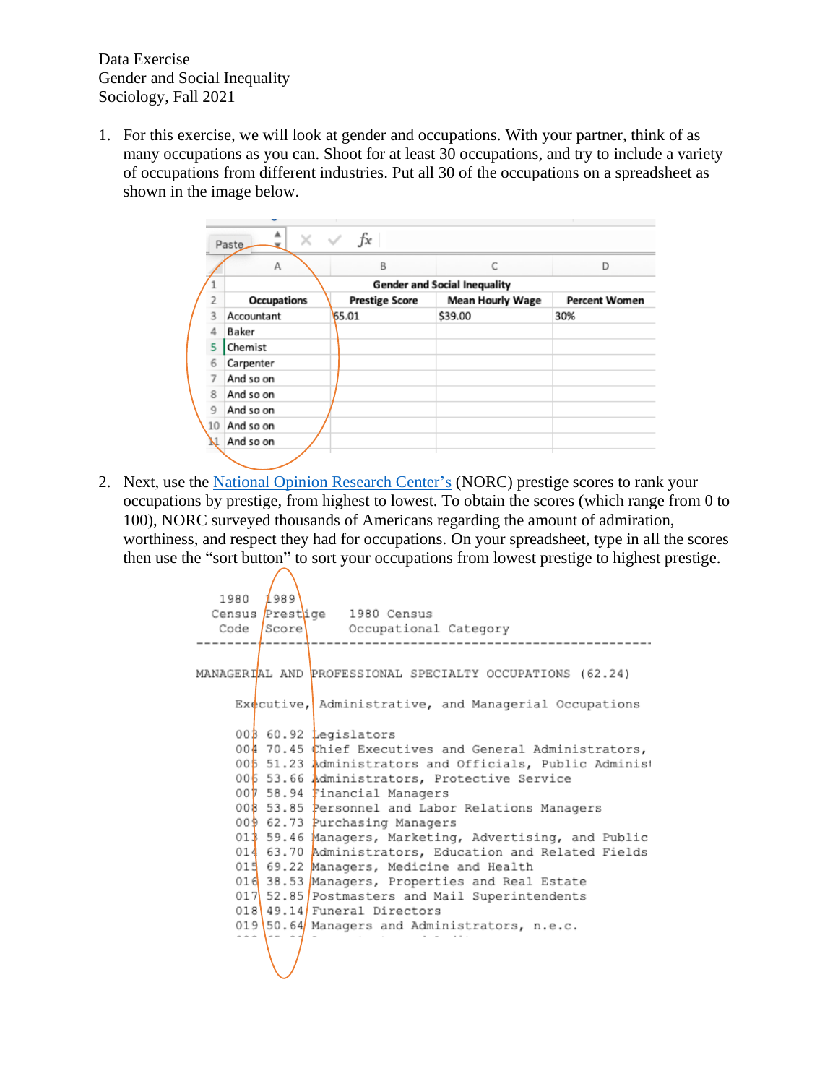Data Exercise Gender and Social Inequality Sociology, Fall 2021

1. For this exercise, we will look at gender and occupations. With your partner, think of as many occupations as you can. Shoot for at least 30 occupations, and try to include a variety of occupations from different industries. Put all 30 of the occupations on a spreadsheet as shown in the image below.

|                | ×<br>Paste                          | fx                    |                         |                      |  |  |  |  |  |  |
|----------------|-------------------------------------|-----------------------|-------------------------|----------------------|--|--|--|--|--|--|
|                | Α                                   | B                     |                         | D                    |  |  |  |  |  |  |
|                | <b>Gender and Social Inequality</b> |                       |                         |                      |  |  |  |  |  |  |
| $\overline{2}$ | Occupations                         | <b>Prestige Score</b> | <b>Mean Hourly Wage</b> | <b>Percent Women</b> |  |  |  |  |  |  |
| 3              | Accountant                          | 65.01                 | \$39.00                 | 30%                  |  |  |  |  |  |  |
| 4              | Baker                               |                       |                         |                      |  |  |  |  |  |  |
| 5              | Chemist                             |                       |                         |                      |  |  |  |  |  |  |
| 6              | Carpenter                           |                       |                         |                      |  |  |  |  |  |  |
| 7              | And so on                           |                       |                         |                      |  |  |  |  |  |  |
| 8              | And so on                           |                       |                         |                      |  |  |  |  |  |  |
| 9              | And so on                           |                       |                         |                      |  |  |  |  |  |  |
| 10             | And so on                           |                       |                         |                      |  |  |  |  |  |  |
|                | And so on                           |                       |                         |                      |  |  |  |  |  |  |

2. Next, use the [National Opinion Research Center'](http://ibgwww.colorado.edu/~agross/NNSD/prestige%20scores.html)s (NORC) prestige scores to rank your occupations by prestige, from highest to lowest. To obtain the scores (which range from 0 to 100), NORC surveyed thousands of Americans regarding the amount of admiration, worthiness, and respect they had for occupations. On your spreadsheet, type in all the scores then use the "sort button" to sort your occupations from lowest prestige to highest prestige.

```
1980
        1989
  Census Prestige 1980 Census
  Code Score Occupational Category
              ---------
        . . . . . . .
MANAGERIAL AND PROFESSIONAL SPECIALTY OCCUPATIONS (62.24)
    Executive, Administrative, and Managerial Occupations
    00360.92 egislators
    004 70.45 Chief Executives and General Administrators,
    005 51.23 Administrators and Officials, Public Administ
    006 53.66 Administrators, Protective Service
    007 58.94 Financial Managers
    008 53.85 Personnel and Labor Relations Managers
    009 62.73 Purchasing Managers
    013 59.46 Managers, Marketing, Advertising, and Public
    014 63.70 Administrators, Education and Related Fields
    015 69.22 Managers, Medicine and Health
    016 38.53 Managers, Properties and Real Estate
    017 52.85 Postmasters and Mail Superintendents
    018 49.14 Funeral Directors
    019 50.64 Managers and Administrators, n.e.c.
```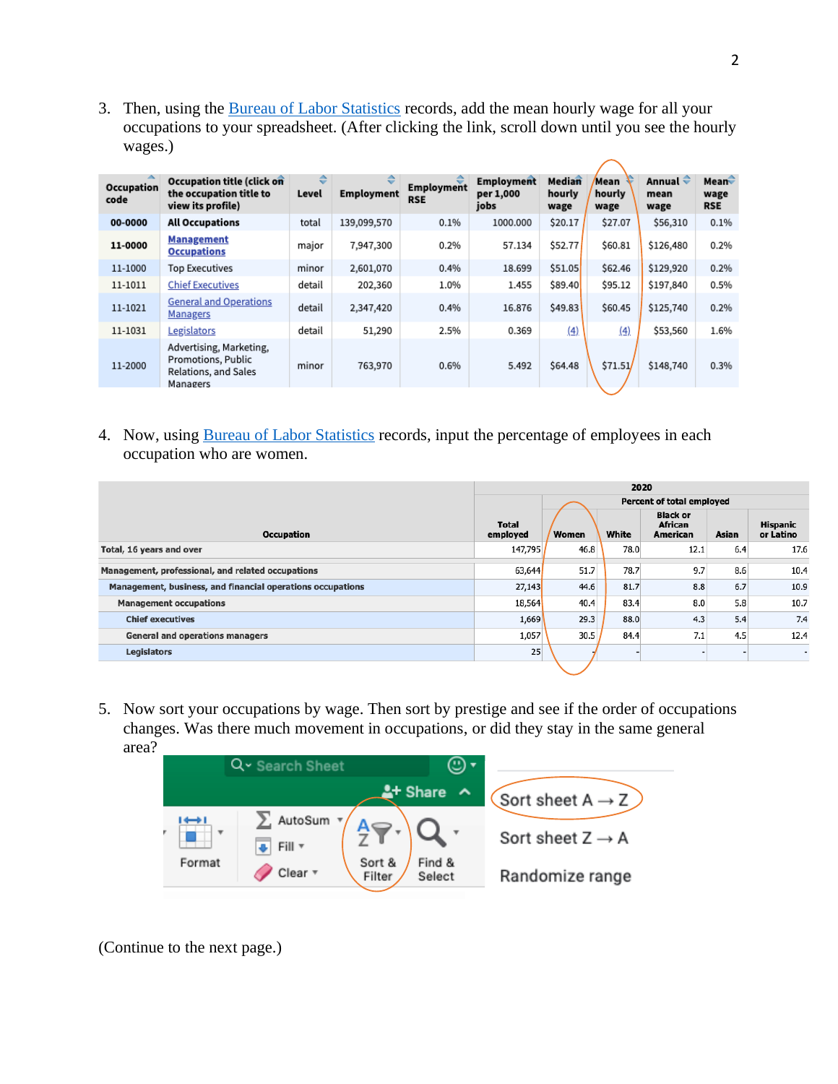3. Then, using the [Bureau of Labor Statistics](https://www.bls.gov/oes/current/oes_nat.htm) records, add the mean hourly wage for all your occupations to your spreadsheet. (After clicking the link, scroll down until you see the hourly wages.)

| Occupation<br>code | Occupation title (click on<br>the occupation title to<br>view its profile)        | ê<br>Level | ═<br><b>Employment</b> | Employment<br><b>RSE</b> | <b>Employment</b><br>per 1,000<br>jobs | Median<br>hourly<br>wage | Mean<br>hourly<br>wage | Annual $\hat{\div}$<br>mean<br>wage | Mean $\hat{\mathbf{z}}$<br>wage<br><b>RSE</b> |
|--------------------|-----------------------------------------------------------------------------------|------------|------------------------|--------------------------|----------------------------------------|--------------------------|------------------------|-------------------------------------|-----------------------------------------------|
| 00-0000            | <b>All Occupations</b>                                                            | total      | 139,099,570            | 0.1%                     | 1000.000                               | \$20.17                  | \$27.07                | \$56,310                            | 0.1%                                          |
| 11-0000            | <b>Management</b><br><b>Occupations</b>                                           | major      | 7,947,300              | 0.2%                     | 57.134                                 | \$52.77                  | \$60.81                | \$126,480                           | 0.2%                                          |
| 11-1000            | <b>Top Executives</b>                                                             | minor      | 2,601,070              | 0.4%                     | 18.699                                 | \$51.05                  | \$62.46                | \$129,920                           | 0.2%                                          |
| 11-1011            | <b>Chief Executives</b>                                                           | detail     | 202,360                | 1.0%                     | 1.455                                  | \$89.40                  | \$95.12                | \$197,840                           | 0.5%                                          |
| 11-1021            | <b>General and Operations</b><br><b>Managers</b>                                  | detail     | 2,347,420              | 0.4%                     | 16.876                                 | \$49.83                  | \$60.45                | \$125,740                           | 0.2%                                          |
| 11-1031            | Legislators                                                                       | detail     | 51,290                 | 2.5%                     | 0.369                                  | (4)                      | (4)                    | \$53,560                            | 1.6%                                          |
| 11-2000            | Advertising, Marketing,<br>Promotions, Public<br>Relations, and Sales<br>Managers | minor      | 763,970                | 0.6%                     | 5.492                                  | \$64.48                  | \$71.51                | \$148,740                           | 0.3%                                          |

4. Now, using [Bureau of Labor Statistics](https://www.bls.gov/cps/cpsaat11.htm) records, input the percentage of employees in each occupation who are women.

|                                                            |                   | 2020         |                           |                                               |       |                              |
|------------------------------------------------------------|-------------------|--------------|---------------------------|-----------------------------------------------|-------|------------------------------|
|                                                            |                   |              | Percent of total employed |                                               |       |                              |
| <b>Occupation</b>                                          | Total<br>employed | <b>Women</b> | White                     | <b>Black or</b><br><b>African</b><br>American | Asian | <b>Hispanic</b><br>or Latino |
| Total, 16 years and over                                   | 147,795           | 46.8         | 78.0                      | 12.1                                          | 6.4   | 17.6                         |
| Management, professional, and related occupations          | 63,644            | 51.7         | 78.7                      | 9.7                                           | 8.6   | 10.4                         |
| Management, business, and financial operations occupations | 27,143            | 44.6         | 81.7                      | 8.8                                           | 6.7   | 10.9                         |
| <b>Management occupations</b>                              | 18,564            | 40.4         | 83.4                      | 8.0                                           | 5.8   | 10.7                         |
| <b>Chief executives</b>                                    | 1,669             | 29.3         | 88.0                      | 4.3                                           | 5.4   | 7.4                          |
| <b>General and operations managers</b>                     | 1,057             | 30.5         | 84.4                      | 7.1                                           | 4.5   | 12.4                         |
| Legislators                                                | 25                |              |                           |                                               |       | $\overline{\phantom{a}}$     |
|                                                            |                   |              |                           |                                               |       |                              |

5. Now sort your occupations by wage. Then sort by prestige and see if the order of occupations changes. Was there much movement in occupations, or did they stay in the same general area?



(Continue to the next page.)